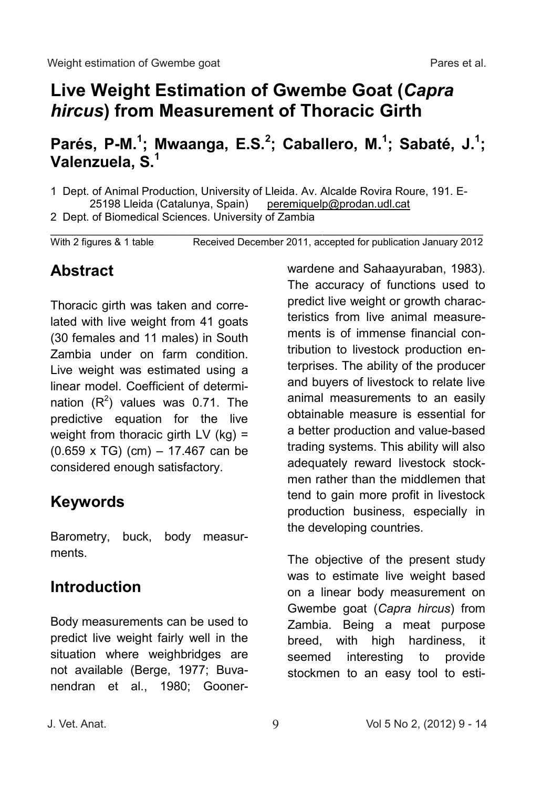# **Live Weight Estimation of Gwembe Goat (***Capra hircus***) from Measurement of Thoracic Girth**

## **Parés, P-M.<sup>1</sup>; Mwaanga, E.S.<sup>2</sup>; Caballero, M.<sup>1</sup>; Sabaté, J.<sup>1</sup>; Valenzuela, S.<sup>1</sup>**

1 Dept. of Animal Production, University of Lleida. Av. Alcalde Rovira Roure, 191. E-<br>25198 Lleida (Catalunya, Spain) peremiquelp@prodan.udl.cat 25198 Lleida (Catalunya, Spain)

2 Dept. of Biomedical Sciences. University of Zambia

\_\_\_\_\_\_\_\_\_\_\_\_\_\_\_\_\_\_\_\_\_\_\_\_\_\_\_\_\_\_\_\_\_\_\_\_\_\_\_\_\_\_\_\_\_\_\_\_\_\_\_\_\_\_\_\_\_\_\_\_\_\_\_\_\_\_\_\_\_\_ With 2 figures & 1 table Received December 2011, accepted for publication January 2012

### **Abstract**

Thoracic girth was taken and correlated with live weight from 41 goats (30 females and 11 males) in South Zambia under on farm condition. Live weight was estimated using a linear model. Coefficient of determination  $(R^2)$  values was 0.71. The predictive equation for the live weight from thoracic girth LV (kg) = (0.659 x TG) (cm) – 17.467 can be considered enough satisfactory.

## **Keywords**

Barometry, buck, body measurments.

### **Introduction**

Body measurements can be used to predict live weight fairly well in the situation where weighbridges are not available (Berge, 1977; Buvanendran et al., 1980; Goonerwardene and Sahaayuraban, 1983). The accuracy of functions used to predict live weight or growth characteristics from live animal measurements is of immense financial contribution to livestock production enterprises. The ability of the producer and buyers of livestock to relate live animal measurements to an easily obtainable measure is essential for a better production and value-based trading systems. This ability will also adequately reward livestock stockmen rather than the middlemen that tend to gain more profit in livestock production business, especially in the developing countries.

The objective of the present study was to estimate live weight based on a linear body measurement on Gwembe goat (*Capra hircus*) from Zambia. Being a meat purpose breed, with high hardiness, it seemed interesting to provide stockmen to an easy tool to esti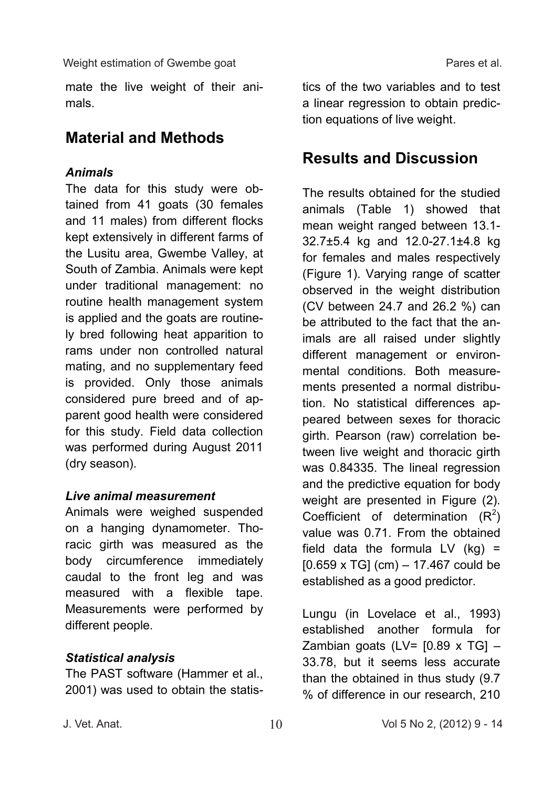mate the live weight of their animals.

### **Material and Methods**

### *Animals*

The data for this study were obtained from 41 goats (30 females and 11 males) from different flocks kept extensively in different farms of the Lusitu area, Gwembe Valley, at South of Zambia. Animals were kept under traditional management: no routine health management system is applied and the goats are routinely bred following heat apparition to rams under non controlled natural mating, and no supplementary feed is provided. Only those animals considered pure breed and of apparent good health were considered for this study. Field data collection was performed during August 2011 (dry season).

#### *Live animal measurement*

Animals were weighed suspended on a hanging dynamometer. Thoracic girth was measured as the body circumference immediately caudal to the front leg and was measured with a flexible tape. Measurements were performed by different people.

#### *Statistical analysis*

The PAST software (Hammer et al., 2001) was used to obtain the statistics of the two variables and to test a linear regression to obtain prediction equations of live weight.

### **Results and Discussion**

The results obtained for the studied animals (Table 1) showed that mean weight ranged between 13.1- 32.7±5.4 kg and 12.0-27.1±4.8 kg for females and males respectively (Figure 1). Varying range of scatter observed in the weight distribution (CV between 24.7 and 26.2 %) can be attributed to the fact that the animals are all raised under slightly different management or environmental conditions. Both measurements presented a normal distribution. No statistical differences appeared between sexes for thoracic girth. Pearson (raw) correlation between live weight and thoracic girth was 0.84335. The lineal regression and the predictive equation for body weight are presented in Figure (2). Coefficient of determination  $(R^2)$ value was 0.71. From the obtained field data the formula LV  $(kg)$  =  $[0.659 \times TG]$  (cm)  $- 17.467$  could be established as a good predictor.

Lungu (in Lovelace et al., 1993) established another formula for Zambian goats (LV=  $[0.89 \times TG]$  -33.78, but it seems less accurate than the obtained in thus study (9.7 % of difference in our research, 210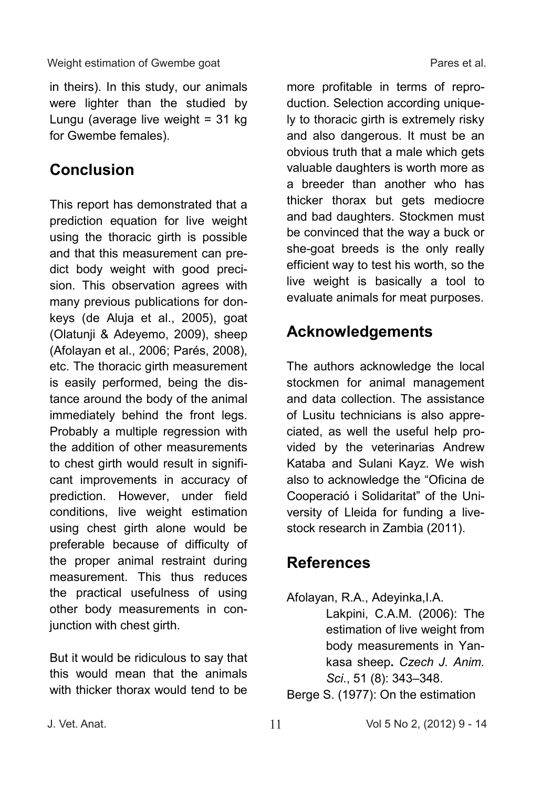#### Weight estimation of Gwembe goat example of the Pares et al.

in theirs). In this study, our animals were lighter than the studied by Lungu (average live weight  $= 31$  kg for Gwembe females).

### **Conclusion**

This report has demonstrated that a prediction equation for live weight using the thoracic girth is possible and that this measurement can predict body weight with good precision. This observation agrees with many previous publications for donkeys (de Aluja et al., 2005), goat (Olatunji & Adeyemo, 2009), sheep (Afolayan et al., 2006; Parés, 2008), etc. The thoracic girth measurement is easily performed, being the distance around the body of the animal immediately behind the front legs. Probably a multiple regression with the addition of other measurements to chest girth would result in significant improvements in accuracy of prediction. However, under field conditions, live weight estimation using chest girth alone would be preferable because of difficulty of the proper animal restraint during measurement. This thus reduces the practical usefulness of using other body measurements in conjunction with chest girth.

But it would be ridiculous to say that this would mean that the animals with thicker thorax would tend to be

more profitable in terms of reproduction. Selection according uniquely to thoracic girth is extremely risky and also dangerous. It must be an obvious truth that a male which gets valuable daughters is worth more as a breeder than another who has thicker thorax but gets mediocre and bad daughters. Stockmen must be convinced that the way a buck or she-goat breeds is the only really efficient way to test his worth, so the live weight is basically a tool to evaluate animals for meat purposes.

## **Acknowledgements**

The authors acknowledge the local stockmen for animal management and data collection. The assistance of Lusitu technicians is also appreciated, as well the useful help provided by the veterinarias Andrew Kataba and Sulani Kayz. We wish also to acknowledge the "Oficina de Cooperació i Solidaritat" of the University of Lleida for funding a livestock research in Zambia (2011).

## **References**

Afolayan, R.A., Adeyinka,I.A.

Lakpini, C.A.M. (2006): The estimation of live weight from body measurements in Yankasa sheep**.** *Czech J. Anim. Sci*., 51 (8): 343–348.

Berge S. (1977): On the estimation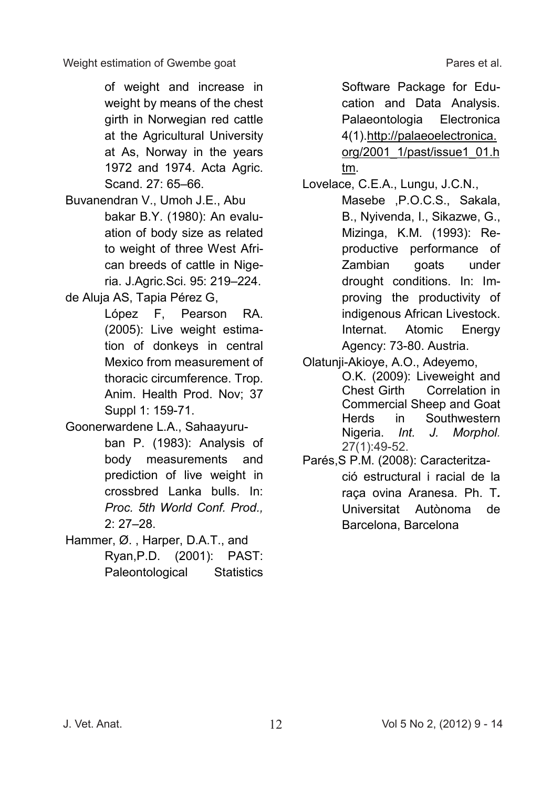of weight and increase in weight by means of the chest girth in Norwegian red cattle at the Agricultural University at As, Norway in the years 1972 and 1974. Acta Agric. Scand. 27: 65–66.

Buvanendran V., Umoh J.E., Abu bakar B.Y. (1980): An evaluation of body size as related to weight of three West African breeds of cattle in Nigeria. J.Agric.Sci. 95: 219–224.

de Aluja AS, Tapia Pérez G,

López F, Pearson RA. (2005): Live weight estimation of donkeys in central Mexico from measurement of thoracic circumference. Trop. Anim. Health Prod. Nov; 37 Suppl 1: 159-71.

Goonerwardene L.A., Sahaayuru-

ban P. (1983): Analysis of body measurements and prediction of live weight in crossbred Lanka bulls. In: *Proc. 5th World Conf. Prod.,*  2: 27–28.

Hammer, Ø. , Harper, D.A.T., and Ryan,P.D. (2001): PAST: Paleontological Statistics Software Package for Education and Data Analysis. Palaeontologia Electronica 4(1).http://palaeoelectronica. org/2001\_1/past/issue1\_01.h tm.

Lovelace, C.E.A., Lungu, J.C.N.,

Masebe ,P.O.C.S., Sakala, B., Nyivenda, I., Sikazwe, G., Mizinga, K.M. (1993): Reproductive performance of Zambian goats under drought conditions. In: Improving the productivity of indigenous African Livestock. Internat. Atomic Energy Agency: 73-80. Austria.

Olatunji-Akioye, A.O., Adeyemo,

O.K. (2009): Liveweight and<br>Chest Girth Correlation in Correlation in Commercial Sheep and Goat Herds in Southwestern Nigeria. *Int. J. Morphol.* 27(1):49-52.

Parés,S P.M. (2008): Caracterització estructural i racial de la raça ovina Aranesa. Ph. T*.* Universitat Autònoma de Barcelona, Barcelona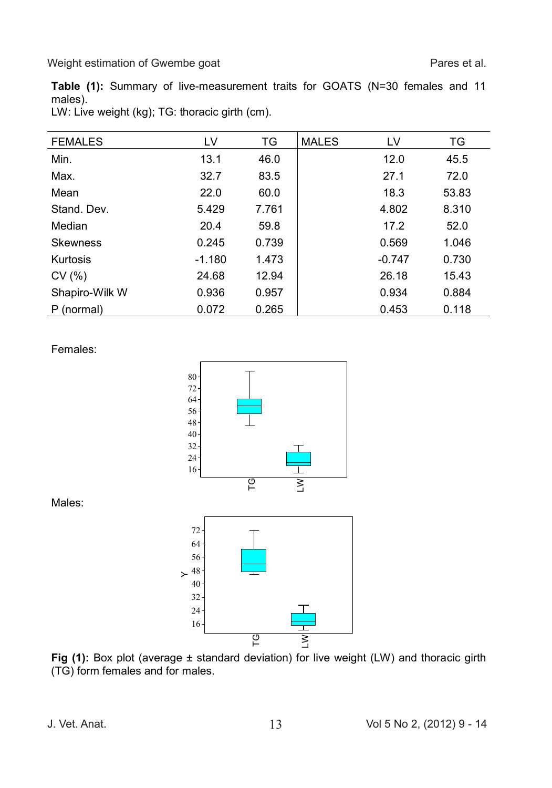Weight estimation of Gwembe goat **Pares et al.** Pares et al.

**Table (1):** Summary of live-measurement traits for GOATS (N=30 females and 11 males).

| LW: Live weight (kg); TG: thoracic girth (cm). |  |  |  |  |  |  |
|------------------------------------------------|--|--|--|--|--|--|
|------------------------------------------------|--|--|--|--|--|--|

| <b>FEMALES</b>  | LV       | TG    | <b>MALES</b> | LV       | TG    |
|-----------------|----------|-------|--------------|----------|-------|
| Min.            | 13.1     | 46.0  |              | 12.0     | 45.5  |
| Max.            | 32.7     | 83.5  |              | 27.1     | 72.0  |
| Mean            | 22.0     | 60.0  |              | 18.3     | 53.83 |
| Stand, Dev.     | 5.429    | 7.761 |              | 4.802    | 8.310 |
| Median          | 20.4     | 59.8  |              | 17.2     | 52.0  |
| <b>Skewness</b> | 0.245    | 0.739 |              | 0.569    | 1.046 |
| Kurtosis        | $-1.180$ | 1.473 |              | $-0.747$ | 0.730 |
| CV(%)           | 24.68    | 12.94 |              | 26.18    | 15.43 |
| Shapiro-Wilk W  | 0.936    | 0.957 |              | 0.934    | 0.884 |
| P (normal)      | 0.072    | 0.265 |              | 0.453    | 0.118 |

Females:



Males: